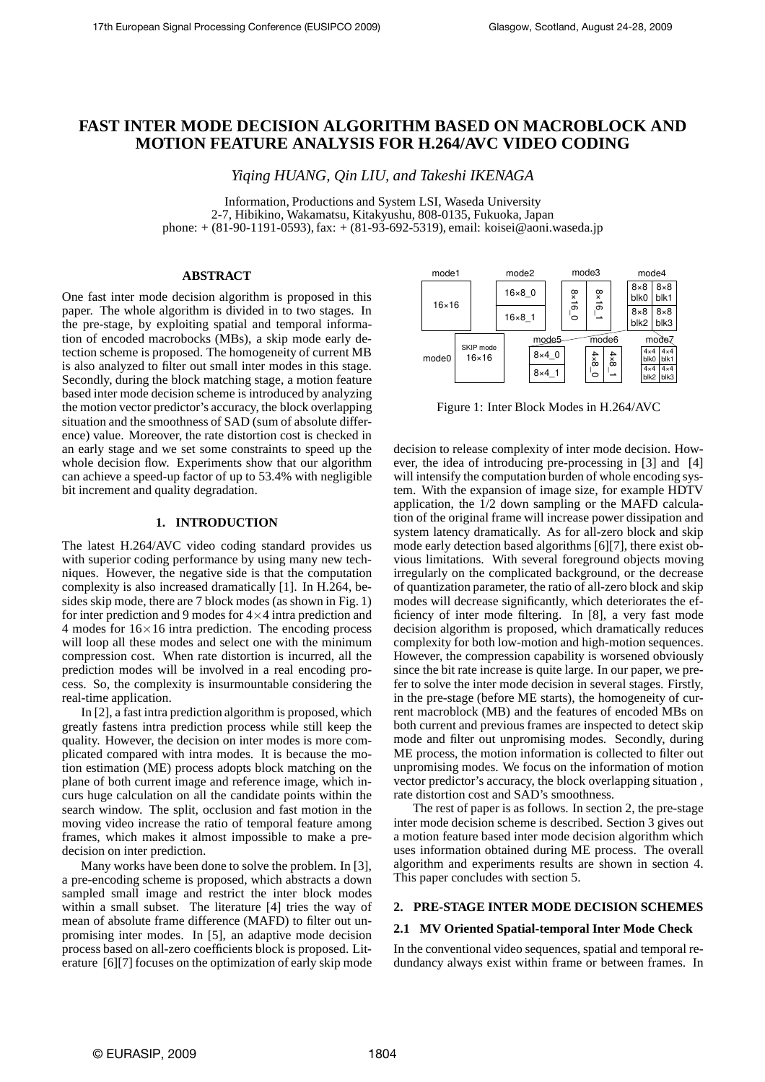# **FAST INTER MODE DECISION ALGORITHM BASED ON MACROBLOCK AND MOTION FEATURE ANALYSIS FOR H.264/AVC VIDEO CODING**

*Yiqing HUANG, Qin LIU, and Takeshi IKENAGA*

Information, Productions and System LSI, Waseda University 2-7, Hibikino, Wakamatsu, Kitakyushu, 808-0135, Fukuoka, Japan phone: + (81-90-1191-0593), fax: + (81-93-692-5319), email: koisei@aoni.waseda.jp

# **ABSTRACT**

One fast inter mode decision algorithm is proposed in this paper. The whole algorithm is divided in to two stages. In the pre-stage, by exploiting spatial and temporal information of encoded macrobocks (MBs), a skip mode early detection scheme is proposed. The homogeneity of current MB is also analyzed to filter out small inter modes in this stage. Secondly, during the block matching stage, a motion feature based inter mode decision scheme is introduced by analyzing the motion vector predictor's accuracy, the block overlapping situation and the smoothness of SAD (sum of absolute difference) value. Moreover, the rate distortion cost is checked in an early stage and we set some constraints to speed up the whole decision flow. Experiments show that our algorithm can achieve a speed-up factor of up to 53.4% with negligible bit increment and quality degradation.

### **1. INTRODUCTION**

The latest H.264/AVC video coding standard provides us with superior coding performance by using many new techniques. However, the negative side is that the computation complexity is also increased dramatically [1]. In H.264, besides skip mode, there are 7 block modes (as shown in Fig. 1) for inter prediction and 9 modes for  $4 \times 4$  intra prediction and 4 modes for  $16 \times 16$  intra prediction. The encoding process will loop all these modes and select one with the minimum compression cost. When rate distortion is incurred, all the prediction modes will be involved in a real encoding process. So, the complexity is insurmountable considering the real-time application.

In [2], a fast intra prediction algorithm is proposed, which greatly fastens intra prediction process while still keep the quality. However, the decision on inter modes is more complicated compared with intra modes. It is because the motion estimation (ME) process adopts block matching on the plane of both current image and reference image, which incurs huge calculation on all the candidate points within the search window. The split, occlusion and fast motion in the moving video increase the ratio of temporal feature among frames, which makes it almost impossible to make a predecision on inter prediction.

Many works have been done to solve the problem. In [3], a pre-encoding scheme is proposed, which abstracts a down sampled small image and restrict the inter block modes within a small subset. The literature [4] tries the way of mean of absolute frame difference (MAFD) to filter out unpromising inter modes. In [5], an adaptive mode decision process based on all-zero coefficients block is proposed. Literature [6][7] focuses on the optimization of early skip mode



Figure 1: Inter Block Modes in H.264/AVC

decision to release complexity of inter mode decision. However, the idea of introducing pre-processing in [3] and [4] will intensify the computation burden of whole encoding system. With the expansion of image size, for example HDTV application, the 1/2 down sampling or the MAFD calculation of the original frame will increase power dissipation and system latency dramatically. As for all-zero block and skip mode early detection based algorithms [6][7], there exist obvious limitations. With several foreground objects moving irregularly on the complicated background, or the decrease of quantization parameter, the ratio of all-zero block and skip modes will decrease significantly, which deteriorates the efficiency of inter mode filtering. In [8], a very fast mode decision algorithm is proposed, which dramatically reduces complexity for both low-motion and high-motion sequences. However, the compression capability is worsened obviously since the bit rate increase is quite large. In our paper, we prefer to solve the inter mode decision in several stages. Firstly, in the pre-stage (before ME starts), the homogeneity of current macroblock (MB) and the features of encoded MBs on both current and previous frames are inspected to detect skip mode and filter out unpromising modes. Secondly, during ME process, the motion information is collected to filter out unpromising modes. We focus on the information of motion vector predictor's accuracy, the block overlapping situation , rate distortion cost and SAD's smoothness.

The rest of paper is as follows. In section 2, the pre-stage inter mode decision scheme is described. Section 3 gives out a motion feature based inter mode decision algorithm which uses information obtained during ME process. The overall algorithm and experiments results are shown in section 4. This paper concludes with section 5.

## **2. PRE-STAGE INTER MODE DECISION SCHEMES**

## **2.1 MV Oriented Spatial-temporal Inter Mode Check**

In the conventional video sequences, spatial and temporal redundancy always exist within frame or between frames. In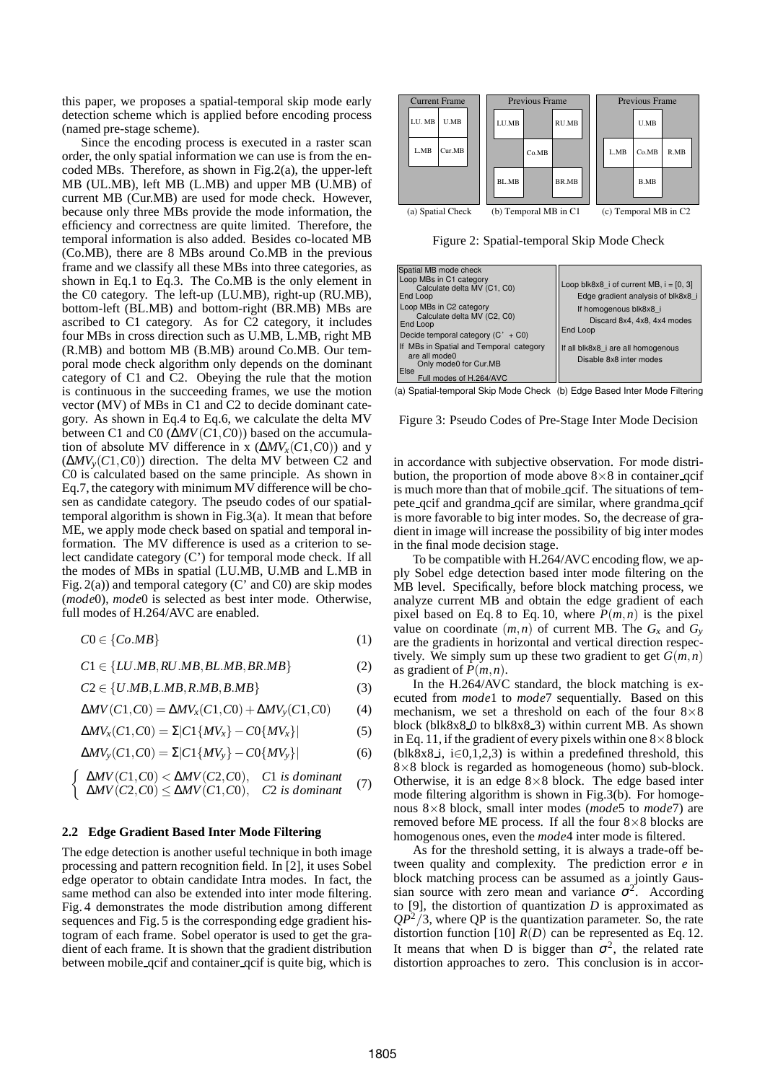this paper, we proposes a spatial-temporal skip mode early detection scheme which is applied before encoding process (named pre-stage scheme).

Since the encoding process is executed in a raster scan order, the only spatial information we can use is from the encoded MBs. Therefore, as shown in Fig.2(a), the upper-left MB (UL.MB), left MB (L.MB) and upper MB (U.MB) of current MB (Cur.MB) are used for mode check. However, because only three MBs provide the mode information, the efficiency and correctness are quite limited. Therefore, the temporal information is also added. Besides co-located MB (Co.MB), there are 8 MBs around Co.MB in the previous frame and we classify all these MBs into three categories, as shown in Eq.1 to Eq.3. The Co.MB is the only element in the C0 category. The left-up (LU.MB), right-up (RU.MB), bottom-left (BL.MB) and bottom-right (BR.MB) MBs are ascribed to C1 category. As for C2 category, it includes four MBs in cross direction such as U.MB, L.MB, right MB (R.MB) and bottom MB (B.MB) around Co.MB. Our temporal mode check algorithm only depends on the dominant category of C1 and C2. Obeying the rule that the motion is continuous in the succeeding frames, we use the motion vector (MV) of MBs in C1 and C2 to decide dominant category. As shown in Eq.4 to Eq.6, we calculate the delta MV between C1 and C0 (∆*MV*(*C*1,*C*0)) based on the accumulation of absolute MV difference in x  $(\Delta MV_x(C1, C0))$  and y (∆*MVy*(*C*1,*C*0)) direction. The delta MV between C2 and C0 is calculated based on the same principle. As shown in Eq.7, the category with minimum MV difference will be chosen as candidate category. The pseudo codes of our spatialtemporal algorithm is shown in Fig.3(a). It mean that before ME, we apply mode check based on spatial and temporal information. The MV difference is used as a criterion to select candidate category (C') for temporal mode check. If all the modes of MBs in spatial (LU.MB, U.MB and L.MB in Fig. 2(a)) and temporal category (C' and C0) are skip modes (*mode*0), *mode*0 is selected as best inter mode. Otherwise, full modes of H.264/AVC are enabled.

$$
C0 \in \{Co.MB\} \tag{1}
$$

 $C1 \in \{LU.MB, RU.MB, BL.MB, BR.MB\}$  (2)

$$
C2 \in \{U.MB, L.MB, R.MB, B.MB\} \tag{3}
$$

$$
\Delta MV(C1, C0) = \Delta MV_x(C1, C0) + \Delta MV_y(C1, C0) \tag{4}
$$

$$
\Delta MV_x(C1,C0) = \Sigma|C1\{MV_x\} - C0\{MV_x\}| \tag{5}
$$

$$
\Delta MV_{y}(C1, C0) = \Sigma |C1\{MV_{y}\} - C0\{MV_{y}\}| \tag{6}
$$

$$
\begin{cases} \Delta MV(C1, C0) < \Delta MV(C2, C0), \quad C1 \text{ is dominant} \\ \Delta MV(C2, C0) < \Delta MV(C1, C0), \quad C2 \text{ is dominant} \end{cases} \tag{7}
$$

#### **2.2 Edge Gradient Based Inter Mode Filtering**

The edge detection is another useful technique in both image processing and pattern recognition field. In [2], it uses Sobel edge operator to obtain candidate Intra modes. In fact, the same method can also be extended into inter mode filtering. Fig. 4 demonstrates the mode distribution among different sequences and Fig. 5 is the corresponding edge gradient histogram of each frame. Sobel operator is used to get the gradient of each frame. It is shown that the gradient distribution between mobile qcif and container qcif is quite big, which is



Figure 2: Spatial-temporal Skip Mode Check

| Spatial MB mode check<br>Loop MBs in C1 category<br>Calculate delta MV (C1, C0)<br>End Loop                          | Loop blk8x8 i of current MB, $i = [0, 3]$<br>Edge gradient analysis of blk8x8 i |
|----------------------------------------------------------------------------------------------------------------------|---------------------------------------------------------------------------------|
| Loop MBs in C2 category<br>Calculate delta MV (C2, C0)<br>End Loop<br>Decide temporal category $(C' + CO)$           | If homogenous blk8x8 i<br>Discard 8x4, 4x8, 4x4 modes<br>End Loop               |
| If MBs in Spatial and Temporal category<br>are all mode0<br>Only mode0 for Cur.MB<br>Else<br>Full modes of H.264/AVC | If all blk8x8 i are all homogenous<br>Disable 8x8 inter modes                   |

(a) Spatial-temporal Skip Mode Check (b) Edge Based Inter Mode Filtering

Figure 3: Pseudo Codes of Pre-Stage Inter Mode Decision

in accordance with subjective observation. For mode distribution, the proportion of mode above  $8\times 8$  in container qcif is much more than that of mobile qcif. The situations of tempete qcif and grandma qcif are similar, where grandma qcif is more favorable to big inter modes. So, the decrease of gradient in image will increase the possibility of big inter modes in the final mode decision stage.

To be compatible with H.264/AVC encoding flow, we apply Sobel edge detection based inter mode filtering on the MB level. Specifically, before block matching process, we analyze current MB and obtain the edge gradient of each pixel based on Eq. 8 to Eq. 10, where  $P(m, n)$  is the pixel value on coordinate  $(m, n)$  of current MB. The  $G_x$  and  $G_y$ are the gradients in horizontal and vertical direction respectively. We simply sum up these two gradient to get  $G(m, n)$ as gradient of  $P(m, n)$ .

In the H.264/AVC standard, the block matching is executed from *mode*1 to *mode*7 sequentially. Based on this mechanism, we set a threshold on each of the four  $8\times8$ block (blk $8x8.0$  to blk $8x8.3$ ) within current MB. As shown in Eq. 11, if the gradient of every pixels within one  $8\times 8$  block (blk $8x8$  i, i∈0,1,2,3) is within a predefined threshold, this  $8\times8$  block is regarded as homogeneous (homo) sub-block. Otherwise, it is an edge  $8\times 8$  block. The edge based inter mode filtering algorithm is shown in Fig.3(b). For homogenous 8×8 block, small inter modes (*mode*5 to *mode*7) are removed before ME process. If all the four 8×8 blocks are homogenous ones, even the *mode*4 inter mode is filtered.

As for the threshold setting, it is always a trade-off between quality and complexity. The prediction error *e* in block matching process can be assumed as a jointly Gaussian source with zero mean and variance  $\sigma^2$ . According to [9], the distortion of quantization *D* is approximated as  $QP^2/3$ , where QP is the quantization parameter. So, the rate distortion function [10]  $\bar{R}(D)$  can be represented as Eq. 12. It means that when D is bigger than  $\sigma^2$ , the related rate distortion approaches to zero. This conclusion is in accor-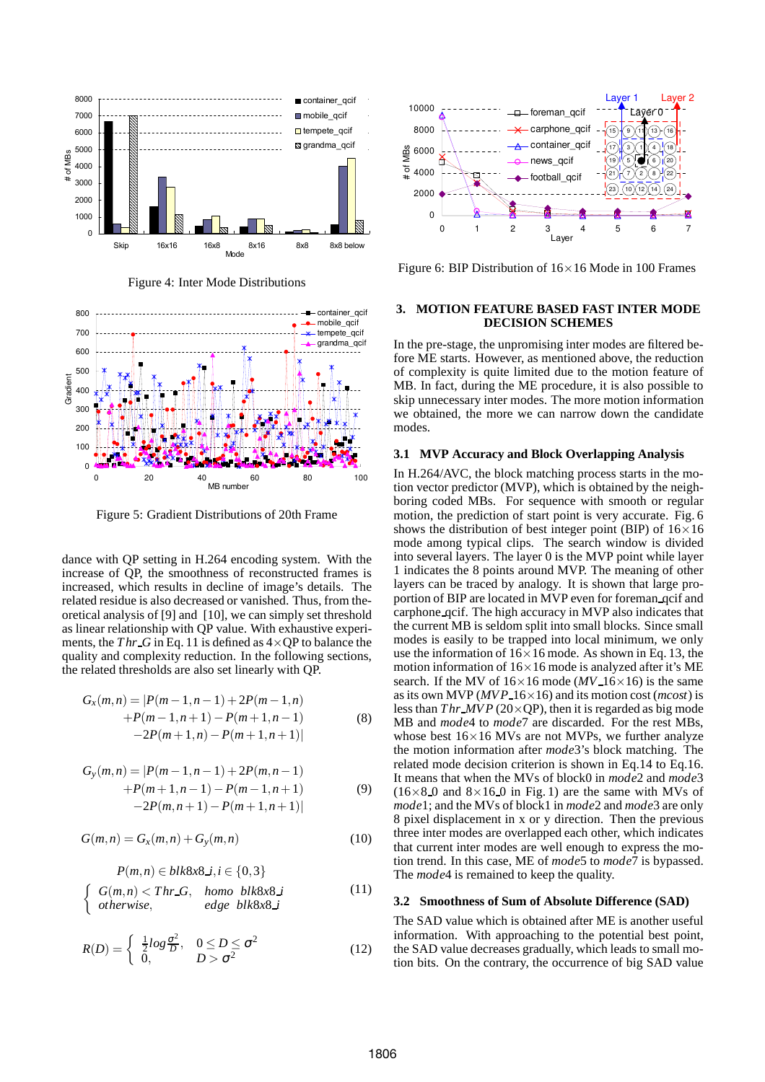

Figure 4: Inter Mode Distributions



Figure 5: Gradient Distributions of 20th Frame

dance with QP setting in H.264 encoding system. With the increase of QP, the smoothness of reconstructed frames is increased, which results in decline of image's details. The related residue is also decreased or vanished. Thus, from theoretical analysis of [9] and [10], we can simply set threshold as linear relationship with QP value. With exhaustive experiments, the *Thr G* in Eq. 11 is defined as  $4 \times QP$  to balance the quality and complexity reduction. In the following sections, the related thresholds are also set linearly with QP.

$$
G_x(m,n) = |P(m-1,n-1)+2P(m-1,n) + P(m-1,n+1)-P(m+1,n-1)
$$
\n
$$
-2P(m+1,n)-P(m+1,n+1)| \tag{8}
$$

$$
G_{y}(m,n) = |P(m-1,n-1)+2P(m,n-1) + P(m+1,n-1) - P(m-1,n+1) \qquad (9)
$$
  
-2P(m,n+1)-P(m+1,n+1)|

$$
G(m,n) = G_x(m,n) + G_y(m,n)
$$
 (10)

 $P(m,n) \subset h l l \cdot 8 n \cdot 8$ ,  $i \subset \{0,2\}$ 

$$
I(m,n) \in \text{Dirac}_{\lambda}, t \in \{0, 3\}
$$
\n
$$
\begin{cases}\nG(m,n) < \text{Thr-G}, \text{ homo blk8x8}.\text{if} \\
\text{otherwise}, \text{edge blk8x8}.\text{if}\n\end{cases}
$$
\n
$$
(11)
$$

$$
R(D) = \begin{cases} \frac{1}{2} \log \frac{\sigma^2}{D}, & 0 \le D \le \sigma^2\\ 0, & D > \sigma^2 \end{cases}
$$
(12)



Figure 6: BIP Distribution of  $16\times16$  Mode in 100 Frames

## **3. MOTION FEATURE BASED FAST INTER MODE DECISION SCHEMES**

In the pre-stage, the unpromising inter modes are filtered before ME starts. However, as mentioned above, the reduction of complexity is quite limited due to the motion feature of MB. In fact, during the ME procedure, it is also possible to skip unnecessary inter modes. The more motion information we obtained, the more we can narrow down the candidate modes.

## **3.1 MVP Accuracy and Block Overlapping Analysis**

In H.264/AVC, the block matching process starts in the motion vector predictor (MVP), which is obtained by the neighboring coded MBs. For sequence with smooth or regular motion, the prediction of start point is very accurate. Fig. 6 shows the distribution of best integer point (BIP) of  $16\times16$ mode among typical clips. The search window is divided into several layers. The layer 0 is the MVP point while layer 1 indicates the 8 points around MVP. The meaning of other layers can be traced by analogy. It is shown that large proportion of BIP are located in MVP even for foreman qcif and carphone qcif. The high accuracy in MVP also indicates that the current MB is seldom split into small blocks. Since small modes is easily to be trapped into local minimum, we only use the information of  $16\times16$  mode. As shown in Eq. 13, the motion information of  $16\times16$  mode is analyzed after it's ME search. If the MV of  $16 \times 16$  mode (*MV*  $16 \times 16$ ) is the same as its own MVP (*MVP* 16×16) and its motion cost (*mcost*) is less than  $Thr\text{ }MVP$  (20×QP), then it is regarded as big mode MB and *mode*4 to *mode*7 are discarded. For the rest MBs, whose best  $16\times16$  MVs are not MVPs, we further analyze the motion information after *mode*3's block matching. The related mode decision criterion is shown in Eq.14 to Eq.16. It means that when the MVs of block0 in *mode*2 and *mode*3  $(16\times8.0$  and  $8\times16.0$  in Fig. 1) are the same with MVs of *mode*1; and the MVs of block1 in *mode*2 and *mode*3 are only 8 pixel displacement in x or y direction. Then the previous three inter modes are overlapped each other, which indicates that current inter modes are well enough to express the motion trend. In this case, ME of *mode*5 to *mode*7 is bypassed. The *mode*4 is remained to keep the quality.

#### **3.2 Smoothness of Sum of Absolute Difference (SAD)**

The SAD value which is obtained after ME is another useful information. With approaching to the potential best point, the SAD value decreases gradually, which leads to small motion bits. On the contrary, the occurrence of big SAD value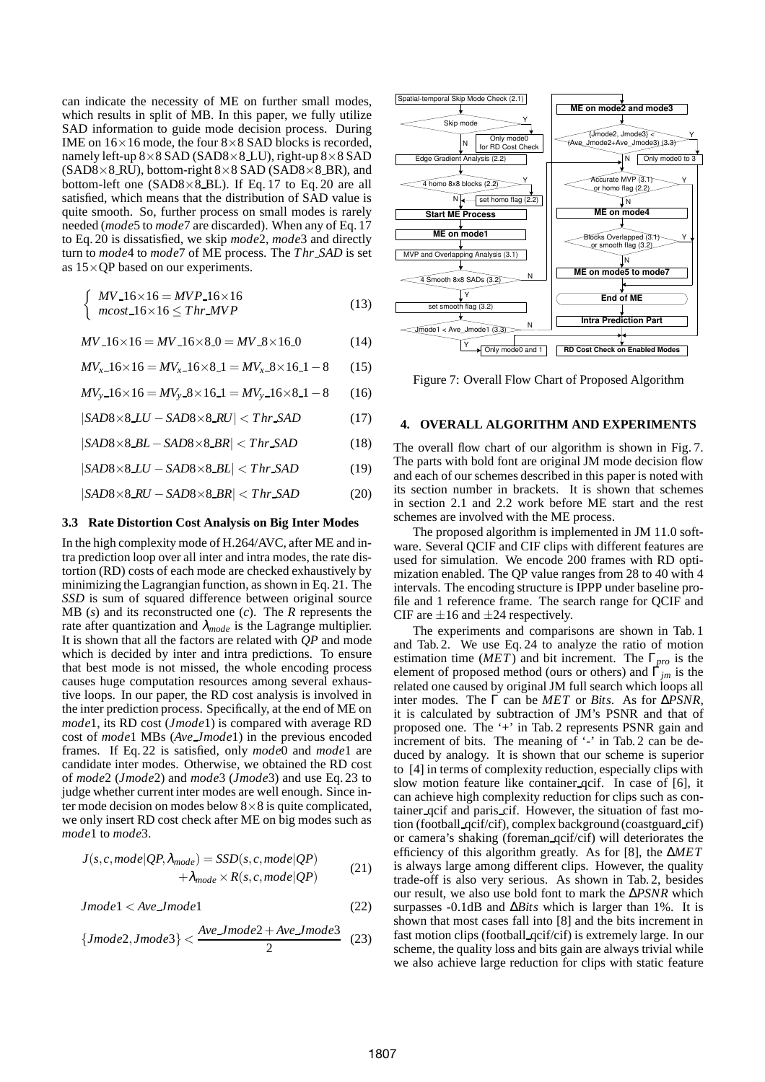can indicate the necessity of ME on further small modes, which results in split of MB. In this paper, we fully utilize SAD information to guide mode decision process. During IME on  $16\times16$  mode, the four  $8\times8$  SAD blocks is recorded, namely left-up  $8\times 8$  SAD (SAD $8\times 8$  LU), right-up  $8\times 8$  SAD  $(SAD8\times 8 \overline{RU})$ , bottom-right  $8\times 8$  SAD  $(SAD8\times 8 \overline{B}R)$ , and bottom-left one (SAD8 $\times$ 8\_BL). If Eq. 17 to Eq. 20 are all satisfied, which means that the distribution of SAD value is quite smooth. So, further process on small modes is rarely needed (*mode*5 to *mode*7 are discarded). When any of Eq. 17 to Eq. 20 is dissatisfied, we skip *mode*2, *mode*3 and directly turn to *mode*4 to *mode*7 of ME process. The *T hr SAD* is set as  $15 \times \text{QP}$  based on our experiments.

$$
\begin{cases}\nMV_16 \times 16 = MVP_16 \times 16 \\
mcost_16 \times 16 \leq Thr_MVP\n\end{cases}
$$
\n(13)

$$
MV_16 \times 16 = MV_16 \times 8.0 = MV_28 \times 16.0 \tag{14}
$$

$$
MV_{x-1}6 \times 16 = MV_{x-1}6 \times 8 = 1 = MV_{x-8}8 \times 16 = 1 - 8
$$
 (15)

$$
MV_{y-1}6 \times 16 = MV_{y-8} \times 16 = MV_{y-1}6 \times 8 = 1 - 8 \tag{16}
$$

$$
|SAD8 \times 8 \cdot LU - SAD8 \times 8 \cdot RU| < Thr \cdot SAD \tag{17}
$$

$$
|SAD8 \times 8 \_BL - SAD8 \times 8 \_BR| < Thr\_SAD \tag{18}
$$

$$
|SAD8 \times 8 \cdot LU - SAD8 \times 8 \cdot BL| < Thr \cdot SAD \tag{19}
$$

$$
|SAD8 \times 8_RU - SAD8 \times 8_R| < Thr\_SAD \tag{20}
$$

#### **3.3 Rate Distortion Cost Analysis on Big Inter Modes**

In the high complexity mode of H.264/AVC, after ME and intra prediction loop over all inter and intra modes, the rate distortion (RD) costs of each mode are checked exhaustively by minimizing the Lagrangian function, as shown in Eq. 21. The *SSD* is sum of squared difference between original source MB (*s*) and its reconstructed one (*c*). The *R* represents the rate after quantization and  $\lambda_{\text{mode}}$  is the Lagrange multiplier. It is shown that all the factors are related with *QP* and mode which is decided by inter and intra predictions. To ensure that best mode is not missed, the whole encoding process causes huge computation resources among several exhaustive loops. In our paper, the RD cost analysis is involved in the inter prediction process. Specifically, at the end of ME on *mode*1, its RD cost (*Jmode*1) is compared with average RD cost of *mode*1 MBs (*Ave Jmode*1) in the previous encoded frames. If Eq. 22 is satisfied, only *mode*0 and *mode*1 are candidate inter modes. Otherwise, we obtained the RD cost of *mode*2 (*Jmode*2) and *mode*3 (*Jmode*3) and use Eq. 23 to judge whether current inter modes are well enough. Since inter mode decision on modes below  $8\times 8$  is quite complicated, we only insert RD cost check after ME on big modes such as *mode*1 to *mode*3.

$$
J(s, c, mode | QP, \lambda_{mode}) = SSD(s, c, mode | QP) + \lambda_{mode} \times R(s, c, mode | QP)
$$
 (21)

$$
Jmodel < Ave\_Jmodel
$$
 (22)

$$
\{Jmode2, Jmode3\} < \frac{Ave\_Jmode2 + Ave\_Jmode3}{2}
$$
 (23)



Figure 7: Overall Flow Chart of Proposed Algorithm

#### **4. OVERALL ALGORITHM AND EXPERIMENTS**

The overall flow chart of our algorithm is shown in Fig. 7. The parts with bold font are original JM mode decision flow and each of our schemes described in this paper is noted with its section number in brackets. It is shown that schemes in section 2.1 and 2.2 work before ME start and the rest schemes are involved with the ME process.

The proposed algorithm is implemented in JM 11.0 software. Several QCIF and CIF clips with different features are used for simulation. We encode 200 frames with RD optimization enabled. The QP value ranges from 28 to 40 with 4 intervals. The encoding structure is IPPP under baseline profile and 1 reference frame. The search range for QCIF and CIF are  $\pm 16$  and  $\pm 24$  respectively.

The experiments and comparisons are shown in Tab. 1 and Tab. 2. We use Eq. 24 to analyze the ratio of motion estimation time (*MET*) and bit increment. The Γ*pro* is the element of proposed method (ours or others) and Γ*jm* is the related one caused by original JM full search which loops all inter modes. The Γ can be *MET* or *Bits*. As for ∆*PSNR*, it is calculated by subtraction of JM's PSNR and that of proposed one. The '+' in Tab. 2 represents PSNR gain and increment of bits. The meaning of '-' in Tab. 2 can be deduced by analogy. It is shown that our scheme is superior to [4] in terms of complexity reduction, especially clips with slow motion feature like container qcif. In case of [6], it can achieve high complexity reduction for clips such as container qcif and paris cif. However, the situation of fast motion (football qcif/cif), complex background (coastguard cif) or camera's shaking (foreman qcif/cif) will deteriorates the efficiency of this algorithm greatly. As for [8], the ∆*MET* is always large among different clips. However, the quality trade-off is also very serious. As shown in Tab. 2, besides our result, we also use bold font to mark the ∆*PSNR* which surpasses -0.1dB and ∆*Bits* which is larger than 1%. It is shown that most cases fall into [8] and the bits increment in fast motion clips (football qcif/cif) is extremely large. In our scheme, the quality loss and bits gain are always trivial while we also achieve large reduction for clips with static feature